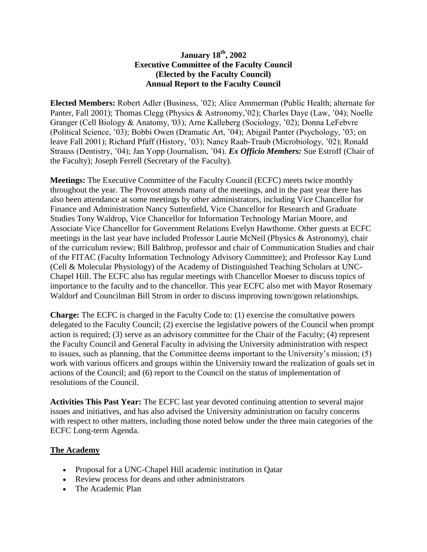## **January 18th, 2002 Executive Committee of the Faculty Council (Elected by the Faculty Council) Annual Report to the Faculty Council**

**Elected Members:** Robert Adler (Business, '02); Alice Ammerman (Public Health; alternate for Panter, Fall 2001); Thomas Clegg (Physics & Astronomy,'02); Charles Daye (Law, '04); Noelle Granger (Cell Biology & Anatomy, '03); Arne Kalleberg (Sociology, '02); Donna LeFebvre (Political Science, '03); Bobbi Owen (Dramatic Art, '04); Abigail Panter (Psychology, '03; on leave Fall 2001); Richard Pfaff (History, '03); Nancy Raab-Traub (Microbiology, '02); Ronald Strauss (Dentistry, '04); Jan Yopp (Journalism, '04). *Ex Officio Members:* Sue Estroff (Chair of the Faculty); Joseph Ferrell (Secretary of the Faculty).

**Meetings:** The Executive Committee of the Faculty Council (ECFC) meets twice monthly throughout the year. The Provost attends many of the meetings, and in the past year there has also been attendance at some meetings by other administrators, including Vice Chancellor for Finance and Administration Nancy Suttenfield, Vice Chancellor for Research and Graduate Studies Tony Waldrop, Vice Chancellor for Information Technology Marian Moore, and Associate Vice Chancellor for Government Relations Evelyn Hawthorne. Other guests at ECFC meetings in the last year have included Professor Laurie McNeil (Physics & Astronomy), chair of the curriculum review; Bill Balthrop, professor and chair of Communication Studies and chair of the FITAC (Faculty Information Technology Advisory Committee); and Professor Kay Lund (Cell & Molecular Physiology) of the Academy of Distinguished Teaching Scholars at UNC-Chapel Hill. The ECFC also has regular meetings with Chancellor Moeser to discuss topics of importance to the faculty and to the chancellor. This year ECFC also met with Mayor Rosemary Waldorf and Councilman Bill Strom in order to discuss improving town/gown relationships.

**Charge:** The ECFC is charged in the Faculty Code to: (1) exercise the consultative powers delegated to the Faculty Council; (2) exercise the legislative powers of the Council when prompt action is required; (3) serve as an advisory committee for the Chair of the Faculty; (4) represent the Faculty Council and General Faculty in advising the University administration with respect to issues, such as planning, that the Committee deems important to the University's mission; (5) work with various officers and groups within the University toward the realization of goals set in actions of the Council; and (6) report to the Council on the status of implementation of resolutions of the Council.

**Activities This Past Year:** The ECFC last year devoted continuing attention to several major issues and initiatives, and has also advised the University administration on faculty concerns with respect to other matters, including those noted below under the three main categories of the ECFC Long-term Agenda.

## **The Academy**

- Proposal for a UNC-Chapel Hill academic institution in Qatar
- Review process for deans and other administrators
- The Academic Plan